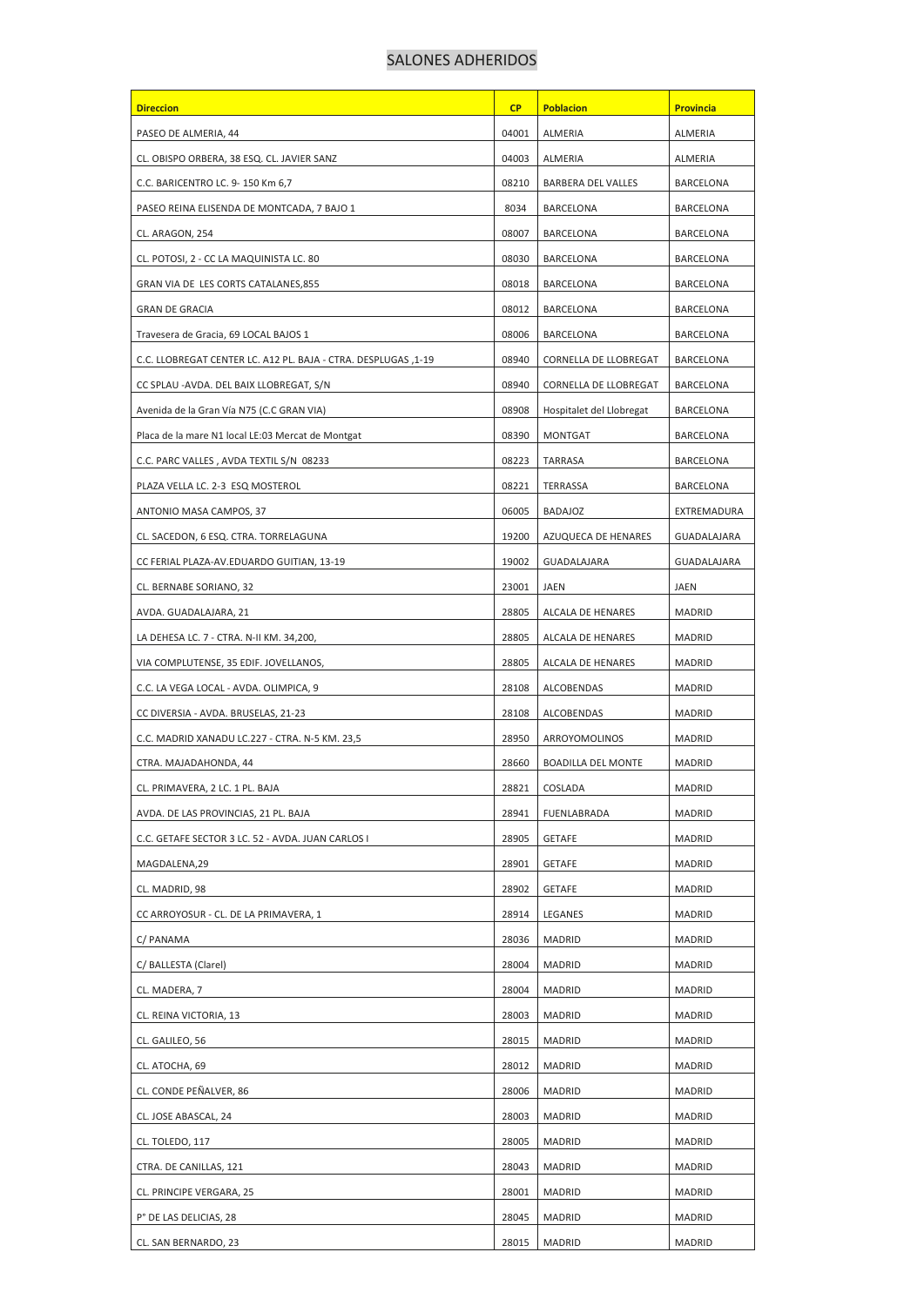## SALONES ADHERIDOS

| <b>Direccion</b>                                               | <b>CP</b> | <b>Poblacion</b>          | <b>Provincia</b> |
|----------------------------------------------------------------|-----------|---------------------------|------------------|
| PASEO DE ALMERIA, 44                                           | 04001     | ALMERIA                   | ALMERIA          |
| CL. OBISPO ORBERA, 38 ESQ. CL. JAVIER SANZ                     | 04003     | ALMERIA                   | ALMERIA          |
| C.C. BARICENTRO LC. 9-150 Km 6,7                               | 08210     | <b>BARBERA DEL VALLES</b> | BARCELONA        |
| PASEO REINA ELISENDA DE MONTCADA, 7 BAJO 1                     | 8034      | BARCELONA                 | BARCELONA        |
| CL. ARAGON, 254                                                | 08007     | BARCELONA                 | <b>BARCELONA</b> |
| CL. POTOSI, 2 - CC LA MAQUINISTA LC. 80                        | 08030     | BARCELONA                 | BARCELONA        |
| GRAN VIA DE LES CORTS CATALANES, 855                           | 08018     | BARCELONA                 | BARCELONA        |
| <b>GRAN DE GRACIA</b>                                          | 08012     | BARCELONA                 | BARCELONA        |
| Travesera de Gracia, 69 LOCAL BAJOS 1                          | 08006     | BARCELONA                 | BARCELONA        |
| C.C. LLOBREGAT CENTER LC. A12 PL. BAJA - CTRA. DESPLUGAS ,1-19 | 08940     | CORNELLA DE LLOBREGAT     | BARCELONA        |
| CC SPLAU -AVDA. DEL BAIX LLOBREGAT, S/N                        | 08940     | CORNELLA DE LLOBREGAT     | BARCELONA        |
| Avenida de la Gran Vía N75 (C.C GRAN VIA)                      | 08908     | Hospitalet del Llobregat  | <b>BARCELONA</b> |
| Placa de la mare N1 local LE:03 Mercat de Montgat              | 08390     | MONTGAT                   | BARCELONA        |
| C.C. PARC VALLES, AVDA TEXTIL S/N 08233                        | 08223     | TARRASA                   | BARCELONA        |
| PLAZA VELLA LC. 2-3 ESQ MOSTEROL                               | 08221     | TERRASSA                  | BARCELONA        |
| ANTONIO MASA CAMPOS, 37                                        | 06005     | BADAJOZ                   | EXTREMADURA      |
| CL. SACEDON, 6 ESQ. CTRA. TORRELAGUNA                          | 19200     | AZUQUECA DE HENARES       | GUADALAJARA      |
| CC FERIAL PLAZA-AV.EDUARDO GUITIAN, 13-19                      | 19002     | GUADALAJARA               | GUADALAJARA      |
| CL. BERNABE SORIANO, 32                                        | 23001     | JAEN                      | JAEN             |
| AVDA. GUADALAJARA, 21                                          | 28805     | ALCALA DE HENARES         | <b>MADRID</b>    |
| LA DEHESA LC. 7 - CTRA. N-II KM. 34,200,                       | 28805     | ALCALA DE HENARES         | MADRID           |
| VIA COMPLUTENSE, 35 EDIF. JOVELLANOS,                          | 28805     | ALCALA DE HENARES         | MADRID           |
| C.C. LA VEGA LOCAL - AVDA. OLIMPICA, 9                         | 28108     | ALCOBENDAS                | <b>MADRID</b>    |
| CC DIVERSIA - AVDA. BRUSELAS, 21-23                            | 28108     | ALCOBENDAS                | <b>MADRID</b>    |
| C.C. MADRID XANADU LC.227 - CTRA. N-5 KM. 23,5                 | 28950     | ARROYOMOLINOS             | <b>MADRID</b>    |
| CTRA. MAJADAHONDA, 44                                          | 28660     | <b>BOADILLA DEL MONTE</b> | <b>MADRID</b>    |
| CL. PRIMAVERA, 2 LC. 1 PL. BAJA                                | 28821     | COSLADA                   | MADRID           |
| AVDA. DE LAS PROVINCIAS, 21 PL. BAJA                           | 28941     | FUENLABRADA               | <b>MADRID</b>    |
| C.C. GETAFE SECTOR 3 LC. 52 - AVDA. JUAN CARLOS I              | 28905     | <b>GETAFE</b>             | <b>MADRID</b>    |
| MAGDALENA,29                                                   | 28901     | <b>GETAFE</b>             | <b>MADRID</b>    |
| CL. MADRID, 98                                                 | 28902     | <b>GETAFE</b>             | <b>MADRID</b>    |
| CC ARROYOSUR - CL. DE LA PRIMAVERA, 1                          | 28914     | LEGANES                   | <b>MADRID</b>    |
| C/ PANAMA                                                      | 28036     | MADRID                    | MADRID           |
| C/ BALLESTA (Clarel)                                           | 28004     | MADRID                    | MADRID           |
| CL. MADERA, 7                                                  | 28004     | MADRID                    | MADRID           |
| CL. REINA VICTORIA, 13                                         | 28003     | MADRID                    | <b>MADRID</b>    |
| CL. GALILEO, 56                                                | 28015     | MADRID                    | MADRID           |
| CL. ATOCHA, 69                                                 | 28012     | MADRID                    | <b>MADRID</b>    |
| CL. CONDE PEÑALVER, 86                                         | 28006     | MADRID                    | <b>MADRID</b>    |
| CL. JOSE ABASCAL, 24                                           | 28003     | MADRID                    | MADRID           |
| CL. TOLEDO, 117                                                | 28005     | MADRID                    | <b>MADRID</b>    |
| CTRA. DE CANILLAS, 121                                         | 28043     | MADRID                    | MADRID           |
| CL. PRINCIPE VERGARA, 25                                       | 28001     | MADRID                    | <b>MADRID</b>    |
| P° DE LAS DELICIAS, 28                                         | 28045     | MADRID                    | MADRID           |
| CL. SAN BERNARDO, 23                                           | 28015     | MADRID                    | <b>MADRID</b>    |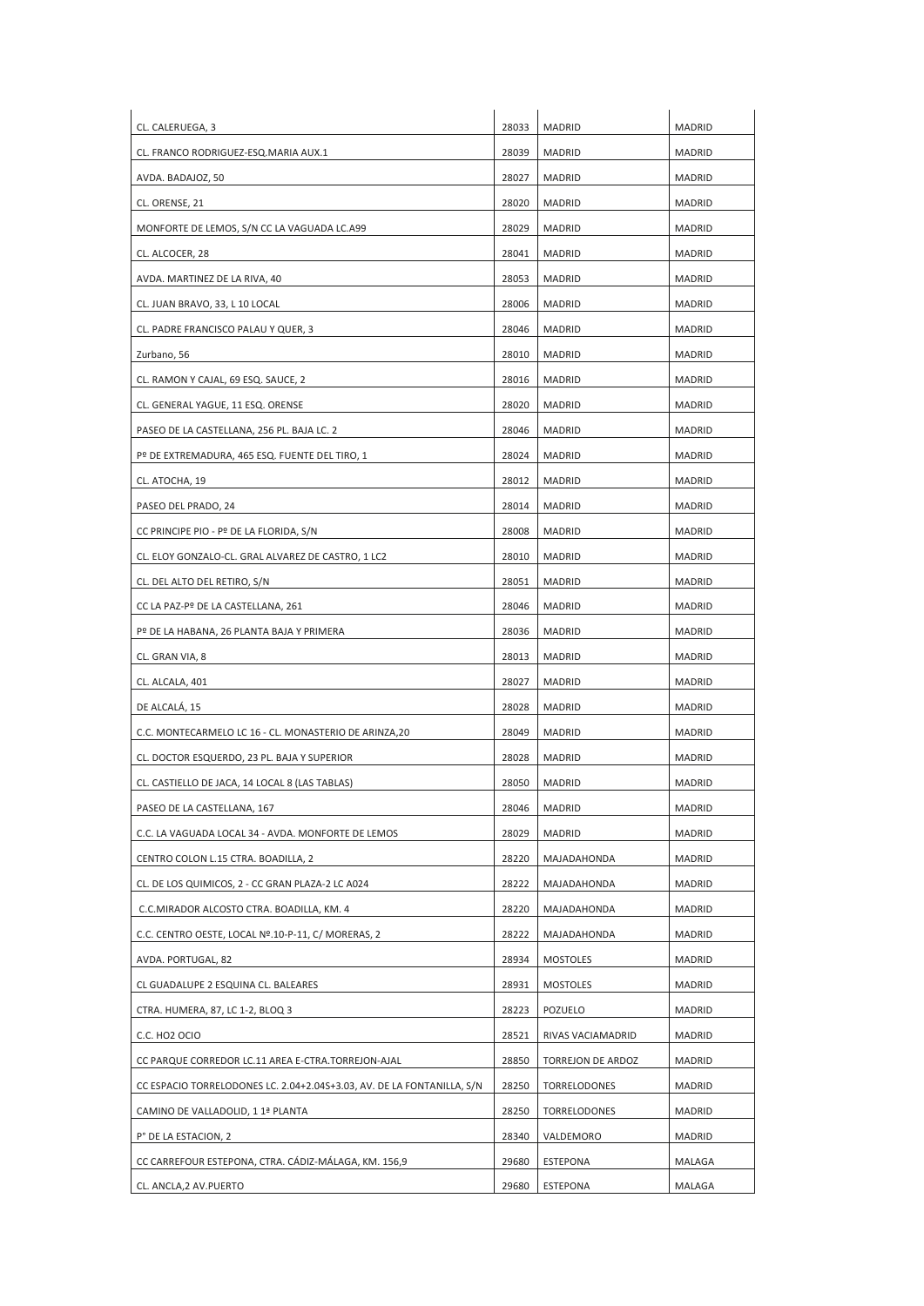| CL. CALERUEGA, 3                                                       | 28033 | MADRID            | <b>MADRID</b> |
|------------------------------------------------------------------------|-------|-------------------|---------------|
| CL. FRANCO RODRIGUEZ-ESQ.MARIA AUX.1                                   | 28039 | <b>MADRID</b>     | <b>MADRID</b> |
| AVDA. BADAJOZ, 50                                                      | 28027 | <b>MADRID</b>     | <b>MADRID</b> |
| CL. ORENSE, 21                                                         | 28020 | <b>MADRID</b>     | MADRID        |
| MONFORTE DE LEMOS, S/N CC LA VAGUADA LC.A99                            | 28029 | MADRID            | MADRID        |
| CL. ALCOCER, 28                                                        | 28041 | <b>MADRID</b>     | MADRID        |
| AVDA. MARTINEZ DE LA RIVA, 40                                          | 28053 | <b>MADRID</b>     | <b>MADRID</b> |
| CL. JUAN BRAVO, 33, L 10 LOCAL                                         | 28006 | <b>MADRID</b>     | <b>MADRID</b> |
| CL. PADRE FRANCISCO PALAU Y QUER, 3                                    | 28046 | MADRID            | <b>MADRID</b> |
| Zurbano, 56                                                            | 28010 | <b>MADRID</b>     | <b>MADRID</b> |
| CL. RAMON Y CAJAL, 69 ESQ. SAUCE, 2                                    | 28016 | <b>MADRID</b>     | MADRID        |
| CL. GENERAL YAGUE, 11 ESQ. ORENSE                                      | 28020 | MADRID            | MADRID        |
| PASEO DE LA CASTELLANA, 256 PL. BAJA LC. 2                             | 28046 | MADRID            | MADRID        |
| Pº DE EXTREMADURA, 465 ESQ. FUENTE DEL TIRO, 1                         | 28024 | <b>MADRID</b>     | <b>MADRID</b> |
| CL. ATOCHA, 19                                                         | 28012 | <b>MADRID</b>     | <b>MADRID</b> |
| PASEO DEL PRADO, 24                                                    | 28014 | <b>MADRID</b>     | <b>MADRID</b> |
| CC PRINCIPE PIO - Pº DE LA FLORIDA, S/N                                | 28008 | <b>MADRID</b>     | <b>MADRID</b> |
| CL. ELOY GONZALO-CL. GRAL ALVAREZ DE CASTRO, 1 LC2                     | 28010 | MADRID            | MADRID        |
| CL. DEL ALTO DEL RETIRO, S/N                                           | 28051 | MADRID            | <b>MADRID</b> |
| CC LA PAZ-Pº DE LA CASTELLANA, 261                                     | 28046 | MADRID            | MADRID        |
| Pº DE LA HABANA, 26 PLANTA BAJA Y PRIMERA                              | 28036 | MADRID            | <b>MADRID</b> |
| CL. GRAN VIA, 8                                                        | 28013 | <b>MADRID</b>     | <b>MADRID</b> |
| CL. ALCALA, 401                                                        | 28027 | <b>MADRID</b>     | <b>MADRID</b> |
| DE ALCALA, 15                                                          | 28028 | MADRID            | MADRID        |
| C.C. MONTECARMELO LC 16 - CL. MONASTERIO DE ARINZA,20                  | 28049 | <b>MADRID</b>     | <b>MADRID</b> |
| CL. DOCTOR ESQUERDO, 23 PL. BAJA Y SUPERIOR                            | 28028 | <b>MADRID</b>     | MADRID        |
| CL. CASTIELLO DE JACA, 14 LOCAL 8 (LAS TABLAS)                         | 28050 | <b>MADRID</b>     | <b>MADRID</b> |
| PASEO DE LA CASTELLANA, 167                                            | 28046 | <b>MADRID</b>     | <b>MADRID</b> |
| C.C. LA VAGUADA LOCAL 34 - AVDA. MONFORTE DE LEMOS                     | 28029 | <b>MADRID</b>     | <b>MADRID</b> |
| CENTRO COLON L.15 CTRA. BOADILLA, 2                                    | 28220 | MAJADAHONDA       | MADRID        |
| CL. DE LOS QUIMICOS, 2 - CC GRAN PLAZA-2 LC A024                       | 28222 | MAJADAHONDA       | <b>MADRID</b> |
| C.C.MIRADOR ALCOSTO CTRA. BOADILLA, KM. 4                              | 28220 | MAJADAHONDA       | MADRID        |
| C.C. CENTRO OESTE, LOCAL Nº.10-P-11, C/ MORERAS, 2                     | 28222 | MAJADAHONDA       | MADRID        |
| AVDA. PORTUGAL, 82                                                     | 28934 | <b>MOSTOLES</b>   | MADRID        |
| CL GUADALUPE 2 ESQUINA CL. BALEARES                                    | 28931 | MOSTOLES          | <b>MADRID</b> |
| CTRA. HUMERA, 87, LC 1-2, BLOQ 3                                       | 28223 | POZUELO           | MADRID        |
| C.C. HO2 OCIO                                                          | 28521 | RIVAS VACIAMADRID | MADRID        |
| CC PARQUE CORREDOR LC.11 AREA E-CTRA.TORREJON-AJAL                     | 28850 | TORREJON DE ARDOZ | <b>MADRID</b> |
| CC ESPACIO TORRELODONES LC. 2.04+2.04S+3.03, AV. DE LA FONTANILLA, S/N | 28250 | TORRELODONES      | MADRID        |
| CAMINO DE VALLADOLID, 1 1ª PLANTA                                      | 28250 | TORRELODONES      | MADRID        |
| P° DE LA ESTACION, 2                                                   | 28340 | VALDEMORO         | MADRID        |
| CC CARREFOUR ESTEPONA, CTRA. CÁDIZ-MÁLAGA, KM. 156,9                   | 29680 | <b>ESTEPONA</b>   | MALAGA        |
| CL. ANCLA, 2 AV. PUERTO                                                | 29680 | ESTEPONA          | MALAGA        |
|                                                                        |       |                   |               |